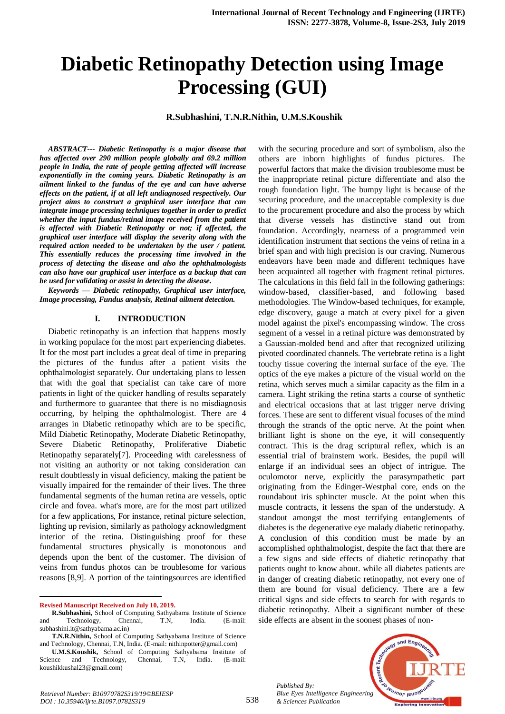# **Diabetic Retinopathy Detection using Image Processing (GUI)**

**R.Subhashini, T.N.R.Nithin, U.M.S.Koushik**

*ABSTRACT--- Diabetic Retinopathy is a major disease that has affected over 290 million people globally and 69.2 million people in India, the rate of people getting affected will increase exponentially in the coming years. Diabetic Retinopathy is an ailment linked to the fundus of the eye and can have adverse effects on the patient, if at all left undiagnosed respectively. Our project aims to construct a graphical user interface that can integrate image processing techniques together in order to predict whether the input fundus/retinal image received from the patient is affected with Diabetic Retinopathy or not; if affected, the graphical user interface will display the severity along with the required action needed to be undertaken by the user / patient. This essentially reduces the processing time involved in the process of detecting the disease and also the ophthalmologists can also have our graphical user interface as a backup that can be used for validating or assist in detecting the disease.*

*Keywords — Diabetic retinopathy, Graphical user interface, Image processing, Fundus analysis, Retinal ailment detection.*

#### **I. INTRODUCTION**

Diabetic retinopathy is an infection that happens mostly in working populace for the most part experiencing diabetes. It for the most part includes a great deal of time in preparing the pictures of the fundus after a patient visits the ophthalmologist separately. Our undertaking plans to lessen that with the goal that specialist can take care of more patients in light of the quicker handling of results separately and furthermore to guarantee that there is no misdiagnosis occurring, by helping the ophthalmologist. There are 4 arranges in Diabetic retinopathy which are to be specific, Mild Diabetic Retinopathy, Moderate Diabetic Retinopathy, Severe Diabetic Retinopathy, Proliferative Diabetic Retinopathy separately[7]. Proceeding with carelessness of not visiting an authority or not taking consideration can result doubtlessly in visual deficiency, making the patient be visually impaired for the remainder of their lives. The three fundamental segments of the human retina are vessels, optic circle and fovea. what's more, are for the most part utilized for a few applications, For instance, retinal picture selection, lighting up revision, similarly as pathology acknowledgment interior of the retina. Distinguishing proof for these fundamental structures physically is monotonous and depends upon the bent of the customer. The division of veins from fundus photos can be troublesome for various reasons [8,9]. A portion of the taintingsources are identified

**Revised Manuscript Received on July 10, 2019.**

1

with the securing procedure and sort of symbolism, also the others are inborn highlights of fundus pictures. The powerful factors that make the division troublesome must be the inappropriate retinal picture differentiate and also the rough foundation light. The bumpy light is because of the securing procedure, and the unacceptable complexity is due to the procurement procedure and also the process by which that diverse vessels has distinctive stand out from foundation. Accordingly, nearness of a programmed vein identification instrument that sections the veins of retina in a brief span and with high precision is our craving. Numerous endeavors have been made and different techniques have been acquainted all together with fragment retinal pictures. The calculations in this field fall in the following gatherings: window-based, classifier-based, and following based methodologies. The Window-based techniques, for example, edge discovery, gauge a match at every pixel for a given model against the pixel's encompassing window. The cross segment of a vessel in a retinal picture was demonstrated by a Gaussian-molded bend and after that recognized utilizing pivoted coordinated channels. The vertebrate retina is a light touchy tissue covering the internal surface of the eye. The optics of the eye makes a picture of the visual world on the retina, which serves much a similar capacity as the film in a camera. Light striking the retina starts a course of synthetic and electrical occasions that at last trigger nerve driving forces. These are sent to different visual focuses of the mind through the strands of the optic nerve. At the point when brilliant light is shone on the eye, it will consequently contract. This is the drag scriptural reflex, which is an essential trial of brainstem work. Besides, the pupil will enlarge if an individual sees an object of intrigue. The oculomotor nerve, explicitly the parasympathetic part originating from the Edinger-Westphal core, ends on the roundabout iris sphincter muscle. At the point when this muscle contracts, it lessens the span of the understudy. A standout amongst the most terrifying entanglements of diabetes is the degenerative eye malady diabetic retinopathy. A conclusion of this condition must be made by an accomplished ophthalmologist, despite the fact that there are a few signs and side effects of diabetic retinopathy that patients ought to know about. while all diabetes patients are in danger of creating diabetic retinopathy, not every one of them are bound for visual deficiency. There are a few critical signs and side effects to search for with regards to diabetic retinopathy. Albeit a significant number of these side effects are absent in the soonest phases of non-

*Published By: Blue Eyes Intelligence Engineering & Sciences Publication* 

538



**R.Subhashini,** School of Computing Sathyabama Institute of Science and Technology, Chennai, T.N, India. (E-mail: subhashini.it@sathyabama.ac.in)

**T.N.R.Nithin,** School of Computing Sathyabama Institute of Science and Technology, Chennai, T.N, India. (E-mail: nithinpotter@gmail.com)

**U.M.S.Koushik,** School of Computing Sathyabama Institute of Science and Technology, Chennai, T.N, India. (E-mail: koushikkushal23@gmail.com)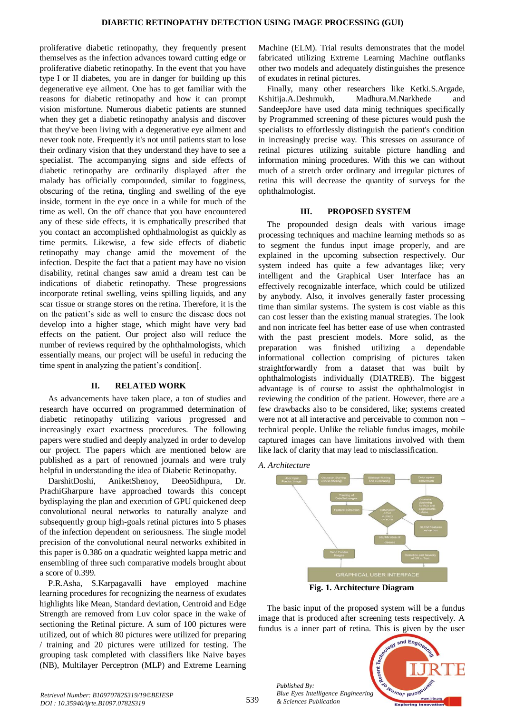proliferative diabetic retinopathy, they frequently present themselves as the infection advances toward cutting edge or proliferative diabetic retinopathy. In the event that you have type I or II diabetes, you are in danger for building up this degenerative eye ailment. One has to get familiar with the reasons for diabetic retinopathy and how it can prompt vision misfortune. Numerous diabetic patients are stunned when they get a diabetic retinopathy analysis and discover that they've been living with a degenerative eye ailment and never took note. Frequently it's not until patients start to lose their ordinary vision that they understand they have to see a specialist. The accompanying signs and side effects of diabetic retinopathy are ordinarily displayed after the malady has officially compounded, similar to fogginess, obscuring of the retina, tingling and swelling of the eye inside, torment in the eye once in a while for much of the time as well. On the off chance that you have encountered any of these side effects, it is emphatically prescribed that you contact an accomplished ophthalmologist as quickly as time permits. Likewise, a few side effects of diabetic retinopathy may change amid the movement of the infection. Despite the fact that a patient may have no vision disability, retinal changes saw amid a dream test can be indications of diabetic retinopathy. These progressions incorporate retinal swelling, veins spilling liquids, and any scar tissue or strange stores on the retina. Therefore, it is the on the patient's side as well to ensure the disease does not develop into a higher stage, which might have very bad effects on the patient. Our project also will reduce the number of reviews required by the ophthalmologists, which essentially means, our project will be useful in reducing the time spent in analyzing the patient's condition[.

## **II. RELATED WORK**

As advancements have taken place, a ton of studies and research have occurred on programmed determination of diabetic retinopathy utilizing various progressed and increasingly exact exactness procedures. The following papers were studied and deeply analyzed in order to develop our project. The papers which are mentioned below are published as a part of renowned journals and were truly helpful in understanding the idea of Diabetic Retinopathy.

DarshitDoshi, AniketShenoy, DeeoSidhpura, Dr. PrachiGharpure have approached towards this concept bydisplaying the plan and execution of GPU quickened deep convolutional neural networks to naturally analyze and subsequently group high-goals retinal pictures into 5 phases of the infection dependent on seriousness. The single model precision of the convolutional neural networks exhibited in this paper is 0.386 on a quadratic weighted kappa metric and ensembling of three such comparative models brought about a score of 0.399.

P.R.Asha, S.Karpagavalli have employed machine learning procedures for recognizing the nearness of exudates highlights like Mean, Standard deviation, Centroid and Edge Strength are removed from Luv color space in the wake of sectioning the Retinal picture. A sum of 100 pictures were utilized, out of which 80 pictures were utilized for preparing / training and 20 pictures were utilized for testing. The grouping task completed with classifiers like Naive bayes (NB), Multilayer Perceptron (MLP) and Extreme Learning

Machine (ELM). Trial results demonstrates that the model fabricated utilizing Extreme Learning Machine outflanks other two models and adequately distinguishes the presence of exudates in retinal pictures.

Finally, many other researchers like Ketki.S.Argade, Kshitija.A.Deshmukh, Madhura.M.Narkhede and SandeepJore have used data minig techniques specifically by Programmed screening of these pictures would push the specialists to effortlessly distinguish the patient's condition in increasingly precise way. This stresses on assurance of retinal pictures utilizing suitable picture handling and information mining procedures. With this we can without much of a stretch order ordinary and irregular pictures of retina this will decrease the quantity of surveys for the ophthalmologist.

#### **III. PROPOSED SYSTEM**

The propounded design deals with various image processing techniques and machine learning methods so as to segment the fundus input image properly, and are explained in the upcoming subsection respectively. Our system indeed has quite a few advantages like; very intelligent and the Graphical User Interface has an effectively recognizable interface, which could be utilized by anybody. Also, it involves generally faster processing time than similar systems. The system is cost viable as this can cost lesser than the existing manual strategies. The look and non intricate feel has better ease of use when contrasted with the past prescient models. More solid, as the preparation was finished utilizing a dependable informational collection comprising of pictures taken straightforwardly from a dataset that was built by ophthalmologists individually (DIATREB). The biggest advantage is of course to assist the ophthalmologist in reviewing the condition of the patient. However, there are a few drawbacks also to be considered, like; systems created were not at all interactive and perceivable to common non – technical people. Unlike the reliable fundus images, mobile captured images can have limitations involved with them like lack of clarity that may lead to misclassification.

*A. Architecture*



The basic input of the proposed system will be a fundus image that is produced after screening tests respectively. A fundus is a inner part of retina. This is given by the user



*Published By:*

*& Sciences Publication*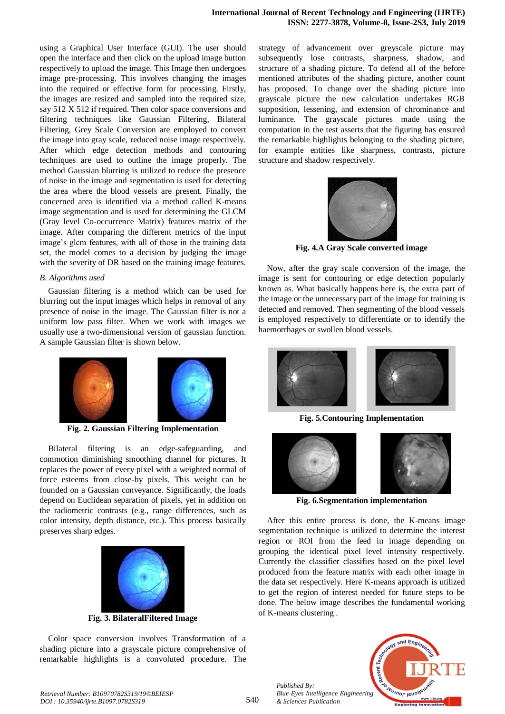using a Graphical User Interface (GUI). The user should open the interface and then click on the upload image button respectively to upload the image. This Image then undergoes image pre-processing. This involves changing the images into the required or effective form for processing. Firstly, the images are resized and sampled into the required size, say 512 X 512 if required. Then color space conversions and filtering techniques like Gaussian Filtering, Bilateral Filtering, Grey Scale Conversion are employed to convert the image into gray scale, reduced noise image respectively. After which edge detection methods and contouring techniques are used to outline the image properly. The method Gaussian blurring is utilized to reduce the presence of noise in the image and segmentation is used for detecting the area where the blood vessels are present. Finally, the concerned area is identified via a method called K-means image segmentation and is used for determining the GLCM (Gray level Co-occurrence Matrix) features matrix of the image. After comparing the different metrics of the input image's glcm features, with all of those in the training data set, the model comes to a decision by judging the image with the severity of DR based on the training image features.

## *B. Algorithms used*

Gaussian filtering is a method which can be used for blurring out the input images which helps in removal of any presence of noise in the image. The Gaussian filter is not a uniform low pass filter. When we work with images we usually use a two-dimensional version of gaussian function. A sample Gaussian filter is shown below.



**Fig. 2. Gaussian Filtering Implementation**

Bilateral filtering is an edge-safeguarding, and commotion diminishing smoothing channel for pictures. It replaces the power of every pixel with a weighted normal of force esteems from close-by pixels. This weight can be founded on a Gaussian conveyance. Significantly, the loads depend on Euclidean separation of pixels, yet in addition on the radiometric contrasts (e.g., range differences, such as color intensity, depth distance, etc.). This process basically preserves sharp edges.



**Fig. 3. BilateralFiltered Image**

Color space conversion involves Transformation of a shading picture into a grayscale picture comprehensive of remarkable highlights is a convoluted procedure. The strategy of advancement over greyscale picture may subsequently lose contrasts, sharpness, shadow, and structure of a shading picture. To defend all of the before mentioned attributes of the shading picture, another count has proposed. To change over the shading picture into grayscale picture the new calculation undertakes RGB supposition, lessening, and extension of chrominance and luminance. The grayscale pictures made using the computation in the test asserts that the figuring has ensured the remarkable highlights belonging to the shading picture, for example entities like sharpness, contrasts, picture structure and shadow respectively.



**Fig. 4.A Gray Scale converted image**

Now, after the gray scale conversion of the image, the image is sent for contouring or edge detection popularly known as. What basically happens here is, the extra part of the image or the unnecessary part of the image for training is detected and removed. Then segmenting of the blood vessels is employed respectively to differentiate or to identify the haemorrhages or swollen blood vessels.



**Fig. 5.Contouring Implementation**



**Fig. 6.Segmentation implementation**

After this entire process is done, the K-means image segmentation technique is utilized to determine the interest region or ROI from the feed in image depending on grouping the identical pixel level intensity respectively. Currently the classifier classifies based on the pixel level produced from the feature matrix with each other image in the data set respectively. Here K-means approach is utilized to get the region of interest needed for future steps to be done. The below image describes the fundamental working of K-means clustering .



540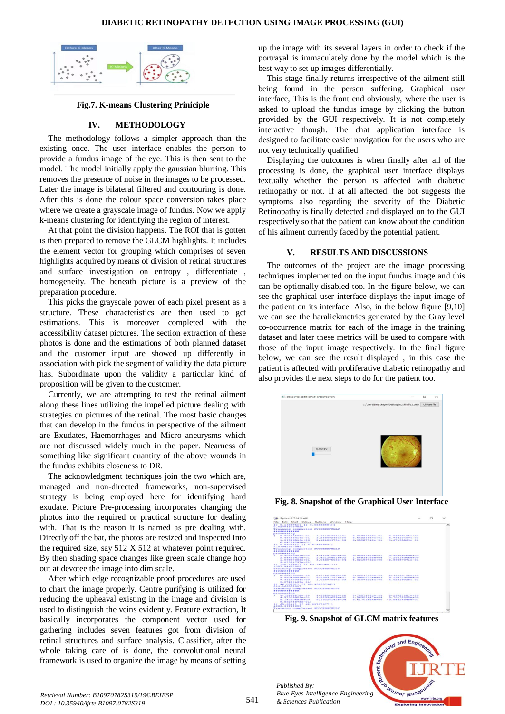

## **Fig.7. K-means Clustering Priniciple**

## **IV. METHODOLOGY**

The methodology follows a simpler approach than the existing once. The user interface enables the person to provide a fundus image of the eye. This is then sent to the model. The model initially apply the gaussian blurring. This removes the presence of noise in the images to be processed. Later the image is bilateral filtered and contouring is done. After this is done the colour space conversion takes place where we create a grayscale image of fundus. Now we apply k-means clustering for identifying the region of interest.

At that point the division happens. The ROI that is gotten is then prepared to remove the GLCM highlights. It includes the element vector for grouping which comprises of seven highlights acquired by means of division of retinal structures and surface investigation on entropy , differentiate , homogeneity. The beneath picture is a preview of the preparation procedure.

This picks the grayscale power of each pixel present as a structure. These characteristics are then used to get estimations. This is moreover completed with the accessibility dataset pictures. The section extraction of these photos is done and the estimations of both planned dataset and the customer input are showed up differently in association with pick the segment of validity the data picture has. Subordinate upon the validity a particular kind of proposition will be given to the customer.

Currently, we are attempting to test the retinal ailment along these lines utilizing the impelled picture dealing with strategies on pictures of the retinal. The most basic changes that can develop in the fundus in perspective of the ailment are Exudates, Haemorrhages and Micro aneurysms which are not discussed widely much in the paper. Nearness of something like significant quantity of the above wounds in the fundus exhibits closeness to DR.

The acknowledgment techniques join the two which are, managed and non-directed frameworks, non-supervised strategy is being employed here for identifying hard exudate. Picture Pre-processing incorporates changing the photos into the required or practical structure for dealing with. That is the reason it is named as pre dealing with. Directly off the bat, the photos are resized and inspected into the required size, say 512 X 512 at whatever point required. By then shading space changes like green scale change hop out at devotee the image into dim scale.

After which edge recognizable proof procedures are used to chart the image properly. Centre purifying is utilized for reducing the upheaval existing in the image and division is used to distinguish the veins evidently. Feature extraction, It basically incorporates the component vector used for gathering includes seven features got from division of retinal structures and surface analysis. Classifier, after the whole taking care of is done, the convolutional neural framework is used to organize the image by means of setting

up the image with its several layers in order to check if the portrayal is immaculately done by the model which is the best way to set up images differentially.

This stage finally returns irrespective of the ailment still being found in the person suffering. Graphical user interface, This is the front end obviously, where the user is asked to upload the fundus image by clicking the button provided by the GUI respectively. It is not completely interactive though. The chat application interface is designed to facilitate easier navigation for the users who are not very technically qualified.

Displaying the outcomes is when finally after all of the processing is done, the graphical user interface displays textually whether the person is affected with diabetic retinopathy or not. If at all affected, the bot suggests the symptoms also regarding the severity of the Diabetic Retinopathy is finally detected and displayed on to the GUI respectively so that the patient can know about the condition of his ailment currently faced by the potential patient.

## **V. RESULTS AND DISCUSSIONS**

The outcomes of the project are the image processing techniques implemented on the input fundus image and this can be optionally disabled too. In the figure below, we can see the graphical user interface displays the input image of the patient on its interface. Also, in the below figure [9,10] we can see the haralickmetrics generated by the Gray level co-occurrence matrix for each of the image in the training dataset and later these metrics will be used to compare with those of the input image respectively. In the final figure below, we can see the result displayed , in this case the patient is affected with proliferative diabetic retinopathy and also provides the next steps to do for the patient too.



**Fig. 8. Snapshot of the Graphical User Interface**



**Fig. 9. Snapshot of GLCM matrix features**

*Published By: Blue Eyes Intelligence Engineering & Sciences Publication* 



and Engi